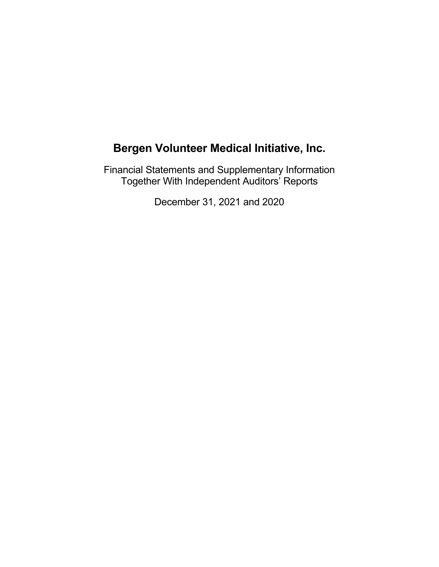Financial Statements and Supplementary Information Together With Independent Auditors' Reports

December 31, 2021 and 2020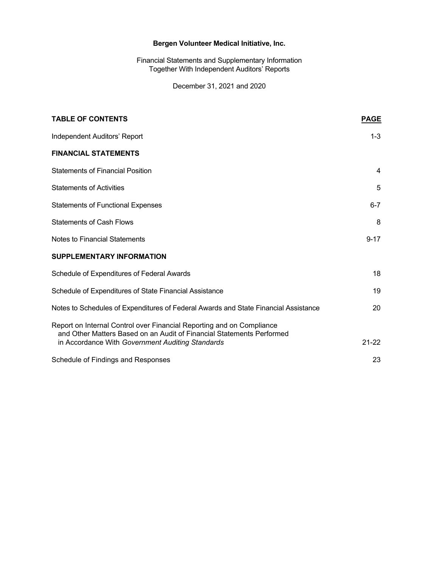Financial Statements and Supplementary Information Together With Independent Auditors' Reports

December 31, 2021 and 2020

| <b>TABLE OF CONTENTS</b>                                                                                                                       | <b>PAGE</b> |
|------------------------------------------------------------------------------------------------------------------------------------------------|-------------|
| Independent Auditors' Report                                                                                                                   | $1 - 3$     |
| <b>FINANCIAL STATEMENTS</b>                                                                                                                    |             |
| <b>Statements of Financial Position</b>                                                                                                        | 4           |
| <b>Statements of Activities</b>                                                                                                                | 5           |
| <b>Statements of Functional Expenses</b>                                                                                                       | $6 - 7$     |
| <b>Statements of Cash Flows</b>                                                                                                                | 8           |
| Notes to Financial Statements                                                                                                                  | $9 - 17$    |
| <b>SUPPLEMENTARY INFORMATION</b>                                                                                                               |             |
| Schedule of Expenditures of Federal Awards                                                                                                     | 18          |
| Schedule of Expenditures of State Financial Assistance                                                                                         | 19          |
| Notes to Schedules of Expenditures of Federal Awards and State Financial Assistance                                                            | 20          |
| Report on Internal Control over Financial Reporting and on Compliance<br>and Other Matters Based on an Audit of Financial Statements Performed | $21 - 22$   |
| in Accordance With Government Auditing Standards                                                                                               |             |
| Schedule of Findings and Responses                                                                                                             | 23          |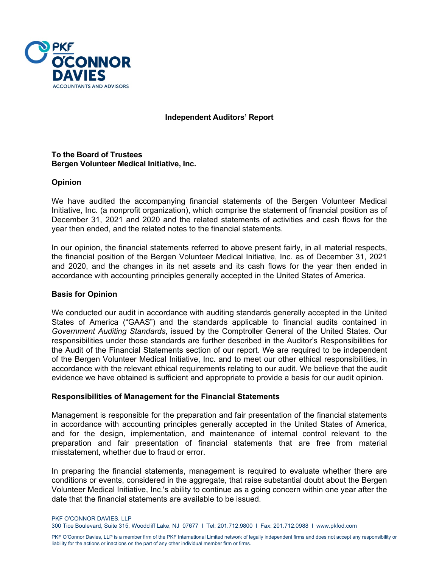

## **Independent Auditors' Report**

**To the Board of Trustees Bergen Volunteer Medical Initiative, Inc.** 

#### **Opinion**

We have audited the accompanying financial statements of the Bergen Volunteer Medical Initiative, Inc. (a nonprofit organization), which comprise the statement of financial position as of December 31, 2021 and 2020 and the related statements of activities and cash flows for the year then ended, and the related notes to the financial statements.

In our opinion, the financial statements referred to above present fairly, in all material respects, the financial position of the Bergen Volunteer Medical Initiative, Inc. as of December 31, 2021 and 2020, and the changes in its net assets and its cash flows for the year then ended in accordance with accounting principles generally accepted in the United States of America.

#### **Basis for Opinion**

We conducted our audit in accordance with auditing standards generally accepted in the United States of America ("GAAS") and the standards applicable to financial audits contained in *Government Auditing Standards*, issued by the Comptroller General of the United States. Our responsibilities under those standards are further described in the Auditor's Responsibilities for the Audit of the Financial Statements section of our report. We are required to be independent of the Bergen Volunteer Medical Initiative, Inc. and to meet our other ethical responsibilities, in accordance with the relevant ethical requirements relating to our audit. We believe that the audit evidence we have obtained is sufficient and appropriate to provide a basis for our audit opinion.

#### **Responsibilities of Management for the Financial Statements**

Management is responsible for the preparation and fair presentation of the financial statements in accordance with accounting principles generally accepted in the United States of America, and for the design, implementation, and maintenance of internal control relevant to the preparation and fair presentation of financial statements that are free from material misstatement, whether due to fraud or error.

In preparing the financial statements, management is required to evaluate whether there are conditions or events, considered in the aggregate, that raise substantial doubt about the Bergen Volunteer Medical Initiative, Inc.'s ability to continue as a going concern within one year after the date that the financial statements are available to be issued.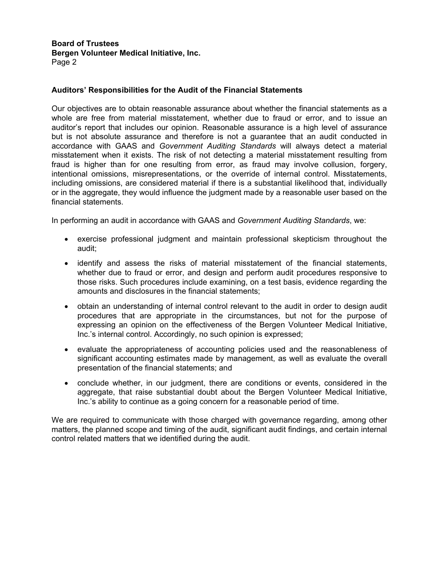#### **Board of Trustees Bergen Volunteer Medical Initiative, Inc.**  Page 2

## **Auditors' Responsibilities for the Audit of the Financial Statements**

Our objectives are to obtain reasonable assurance about whether the financial statements as a whole are free from material misstatement, whether due to fraud or error, and to issue an auditor's report that includes our opinion. Reasonable assurance is a high level of assurance but is not absolute assurance and therefore is not a guarantee that an audit conducted in accordance with GAAS and *Government Auditing Standards* will always detect a material misstatement when it exists. The risk of not detecting a material misstatement resulting from fraud is higher than for one resulting from error, as fraud may involve collusion, forgery, intentional omissions, misrepresentations, or the override of internal control. Misstatements, including omissions, are considered material if there is a substantial likelihood that, individually or in the aggregate, they would influence the judgment made by a reasonable user based on the financial statements.

In performing an audit in accordance with GAAS and *Government Auditing Standards*, we:

- exercise professional judgment and maintain professional skepticism throughout the audit;
- identify and assess the risks of material misstatement of the financial statements, whether due to fraud or error, and design and perform audit procedures responsive to those risks. Such procedures include examining, on a test basis, evidence regarding the amounts and disclosures in the financial statements;
- obtain an understanding of internal control relevant to the audit in order to design audit procedures that are appropriate in the circumstances, but not for the purpose of expressing an opinion on the effectiveness of the Bergen Volunteer Medical Initiative, Inc.'s internal control. Accordingly, no such opinion is expressed;
- evaluate the appropriateness of accounting policies used and the reasonableness of significant accounting estimates made by management, as well as evaluate the overall presentation of the financial statements; and
- conclude whether, in our judgment, there are conditions or events, considered in the aggregate, that raise substantial doubt about the Bergen Volunteer Medical Initiative, Inc.'s ability to continue as a going concern for a reasonable period of time.

We are required to communicate with those charged with governance regarding, among other matters, the planned scope and timing of the audit, significant audit findings, and certain internal control related matters that we identified during the audit.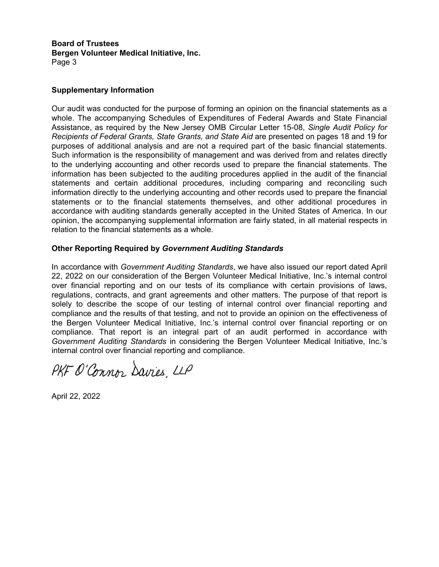#### **Board of Trustees Bergen Volunteer Medical Initiative, Inc.**  Page 3

#### **Supplementary Information**

Our audit was conducted for the purpose of forming an opinion on the financial statements as a whole. The accompanying Schedules of Expenditures of Federal Awards and State Financial Assistance, as required by the New Jersey OMB Circular Letter 15-08, *Single Audit Policy for Recipients of Federal Grants, State Grants, and State Aid* are presented on pages 18 and 19 for purposes of additional analysis and are not a required part of the basic financial statements. Such information is the responsibility of management and was derived from and relates directly to the underlying accounting and other records used to prepare the financial statements. The information has been subjected to the auditing procedures applied in the audit of the financial statements and certain additional procedures, including comparing and reconciling such information directly to the underlying accounting and other records used to prepare the financial statements or to the financial statements themselves, and other additional procedures in accordance with auditing standards generally accepted in the United States of America. In our opinion, the accompanying supplemental information are fairly stated, in all material respects in relation to the financial statements as a whole.

## **Other Reporting Required by** *Government Auditing Standards*

In accordance with *Government Auditing Standards*, we have also issued our report dated April 22, 2022 on our consideration of the Bergen Volunteer Medical Initiative, Inc.'s internal control over financial reporting and on our tests of its compliance with certain provisions of laws, regulations, contracts, and grant agreements and other matters. The purpose of that report is solely to describe the scope of our testing of internal control over financial reporting and compliance and the results of that testing, and not to provide an opinion on the effectiveness of the Bergen Volunteer Medical Initiative, Inc.'s internal control over financial reporting or on compliance. That report is an integral part of an audit performed in accordance with *Government Auditing Standards* in considering the Bergen Volunteer Medical Initiative, Inc.'s internal control over financial reporting and compliance.

PKF O'Connor Davies LLP

April 22, 2022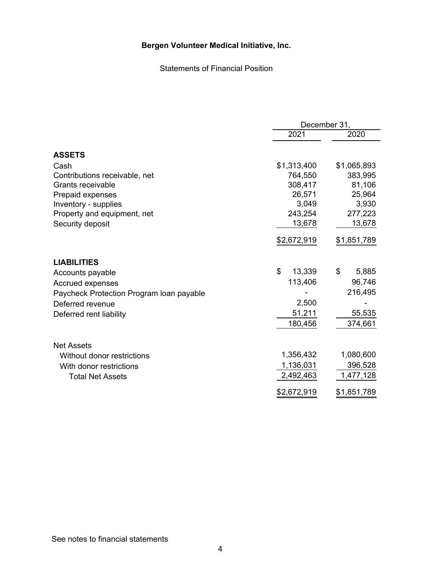Statements of Financial Position

|                                          | December 31, |             |
|------------------------------------------|--------------|-------------|
|                                          | 2021         | 2020        |
| <b>ASSETS</b>                            |              |             |
| Cash                                     | \$1,313,400  | \$1,065,893 |
| Contributions receivable, net            | 764,550      | 383,995     |
| Grants receivable                        | 308,417      | 81,106      |
| Prepaid expenses                         | 26,571       | 25,964      |
| Inventory - supplies                     | 3,049        | 3,930       |
| Property and equipment, net              | 243,254      | 277,223     |
| Security deposit                         | 13,678       | 13,678      |
|                                          | \$2,672,919  | \$1,851,789 |
| <b>LIABILITIES</b>                       |              |             |
| Accounts payable                         | \$<br>13,339 | \$<br>5,885 |
| Accrued expenses                         | 113,406      | 96,746      |
| Paycheck Protection Program Ioan payable |              | 216,495     |
| Deferred revenue                         | 2,500        |             |
| Deferred rent liability                  | 51,211       | 55,535      |
|                                          | 180,456      | 374,661     |
|                                          |              |             |
| <b>Net Assets</b>                        |              |             |
| Without donor restrictions               | 1,356,432    | 1,080,600   |
| With donor restrictions                  | 1,136,031    | 396,528     |
| <b>Total Net Assets</b>                  | 2,492,463    | 1,477,128   |
|                                          | \$2,672,919  | \$1,851,789 |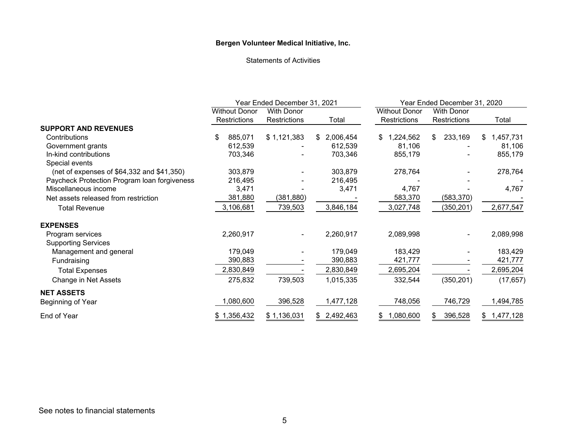#### Statements of Activities

|                                              | Year Ended December 31, 2021 |                   |                  | Year Ended December 31, 2020 |                   |                 |
|----------------------------------------------|------------------------------|-------------------|------------------|------------------------------|-------------------|-----------------|
|                                              | <b>Without Donor</b>         | <b>With Donor</b> |                  | <b>Without Donor</b>         | <b>With Donor</b> |                 |
|                                              | Restrictions                 | Restrictions      | Total            | <b>Restrictions</b>          | Restrictions      | Total           |
| <b>SUPPORT AND REVENUES</b>                  |                              |                   |                  |                              |                   |                 |
| Contributions                                | 885,071<br>\$.               | \$1,121,383       | 2,006,454<br>\$. | 1,224,562<br>\$              | 233,169<br>\$.    | 1,457,731<br>S. |
| Government grants                            | 612,539                      |                   | 612,539          | 81,106                       |                   | 81,106          |
| In-kind contributions                        | 703,346                      |                   | 703,346          | 855,179                      |                   | 855,179         |
| Special events                               |                              |                   |                  |                              |                   |                 |
| (net of expenses of \$64,332 and \$41,350)   | 303,879                      |                   | 303,879          | 278,764                      |                   | 278,764         |
| Paycheck Protection Program loan forgiveness | 216,495                      |                   | 216,495          |                              |                   |                 |
| Miscellaneous income                         | 3,471                        |                   | 3,471            | 4,767                        |                   | 4,767           |
| Net assets released from restriction         | 381,880                      | (381, 880)        |                  | 583,370                      | (583, 370)        |                 |
| <b>Total Revenue</b>                         | 3,106,681                    | 739,503           | 3,846,184        | 3,027,748                    | (350, 201)        | 2,677,547       |
| <b>EXPENSES</b>                              |                              |                   |                  |                              |                   |                 |
| Program services                             | 2,260,917                    |                   | 2,260,917        | 2,089,998                    |                   | 2,089,998       |
| <b>Supporting Services</b>                   |                              |                   |                  |                              |                   |                 |
| Management and general                       | 179,049                      |                   | 179,049          | 183,429                      |                   | 183,429         |
| Fundraising                                  | 390,883                      |                   | 390,883          | 421,777                      |                   | 421,777         |
| <b>Total Expenses</b>                        | 2,830,849                    |                   | 2,830,849        | 2,695,204                    |                   | 2,695,204       |
| Change in Net Assets                         | 275,832                      | 739,503           | 1,015,335        | 332,544                      | (350, 201)        | (17, 657)       |
| <b>NET ASSETS</b>                            |                              |                   |                  |                              |                   |                 |
| Beginning of Year                            | 1,080,600                    | 396,528           | 1,477,128        | 748,056                      | 746,729           | 1,494,785       |
| End of Year                                  | \$1,356,432                  | \$1,136,031       | 2,492,463<br>SS. | 1,080,600                    | 396,528           | 1,477,128<br>\$ |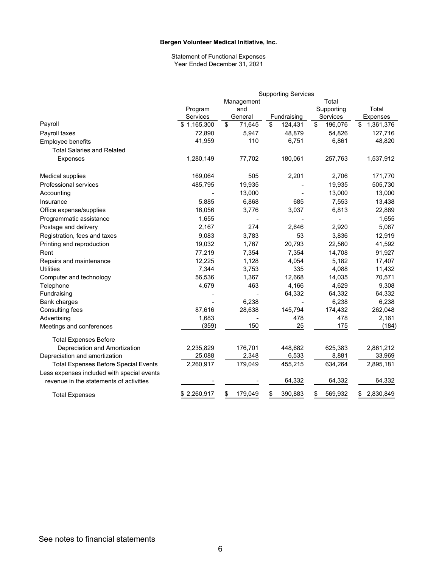Statement of Functional Expenses Year Ended December 31, 2021

|                                             |             |               | <b>Supporting Services</b> |               |                 |
|---------------------------------------------|-------------|---------------|----------------------------|---------------|-----------------|
|                                             |             | Management    |                            | Total         |                 |
|                                             | Program     | and           |                            | Supporting    | Total           |
|                                             | Services    | General       | Fundraising                | Services      | Expenses        |
| Payroll                                     | \$1,165,300 | \$<br>71,645  | \$<br>124,431              | 196,076<br>\$ | \$<br>1,361,376 |
| Payroll taxes                               | 72,890      | 5,947         | 48,879                     | 54,826        | 127,716         |
| Employee benefits                           | 41,959      | 110           | 6,751                      | 6,861         | 48,820          |
| <b>Total Salaries and Related</b>           |             |               |                            |               |                 |
| <b>Expenses</b>                             | 1,280,149   | 77,702        | 180,061                    | 257,763       | 1,537,912       |
| <b>Medical supplies</b>                     | 169,064     | 505           | 2,201                      | 2,706         | 171,770         |
| <b>Professional services</b>                | 485,795     | 19,935        |                            | 19,935        | 505,730         |
| Accounting                                  |             | 13,000        |                            | 13,000        | 13,000          |
| Insurance                                   | 5,885       | 6,868         | 685                        | 7,553         | 13,438          |
| Office expense/supplies                     | 16,056      | 3,776         | 3,037                      | 6,813         | 22,869          |
| Programmatic assistance                     | 1,655       |               |                            |               | 1,655           |
| Postage and delivery                        | 2,167       | 274           | 2,646                      | 2,920         | 5,087           |
| Registration, fees and taxes                | 9,083       | 3,783         | 53                         | 3,836         | 12,919          |
| Printing and reproduction                   | 19,032      | 1,767         | 20,793                     | 22,560        | 41,592          |
| Rent                                        | 77,219      | 7,354         | 7,354                      | 14,708        | 91,927          |
| Repairs and maintenance                     | 12,225      | 1,128         | 4,054                      | 5,182         | 17,407          |
| <b>Utilities</b>                            | 7,344       | 3,753         | 335                        | 4,088         | 11,432          |
| Computer and technology                     | 56,536      | 1,367         | 12,668                     | 14,035        | 70,571          |
| Telephone                                   | 4,679       | 463           | 4,166                      | 4,629         | 9,308           |
| Fundraising                                 |             |               | 64,332                     | 64,332        | 64,332          |
| Bank charges                                |             | 6,238         |                            | 6,238         | 6,238           |
| Consulting fees                             | 87,616      | 28,638        | 145,794                    | 174,432       | 262,048         |
| Advertising                                 | 1,683       |               | 478                        | 478           | 2,161           |
| Meetings and conferences                    | (359)       | 150           | 25                         | 175           | (184)           |
| <b>Total Expenses Before</b>                |             |               |                            |               |                 |
| Depreciation and Amortization               | 2,235,829   | 176,701       | 448,682                    | 625,383       | 2,861,212       |
| Depreciation and amortization               | 25,088      | 2,348         | 6,533                      | 8,881         | 33,969          |
| <b>Total Expenses Before Special Events</b> | 2,260,917   | 179,049       | 455,215                    | 634,264       | 2,895,181       |
| Less expenses included with special events  |             |               |                            |               |                 |
| revenue in the statements of activities     |             |               | 64,332                     | 64,332        | 64,332          |
| <b>Total Expenses</b>                       | \$2,260,917 | 179,049<br>\$ | 390,883<br>\$              | \$<br>569,932 | 2,830,849<br>\$ |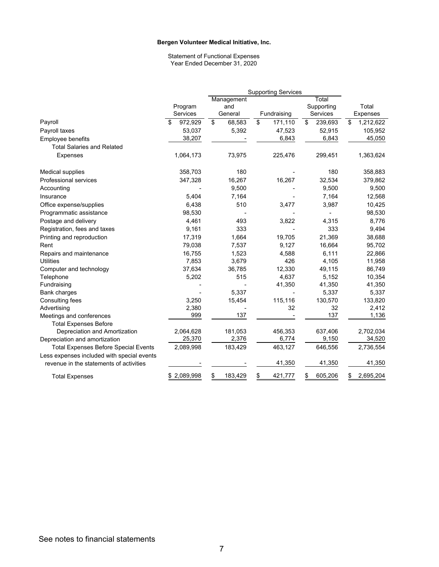Statement of Functional Expenses Year Ended December 31, 2020

|                                             |               |               | <b>Supporting Services</b> |               |                 |
|---------------------------------------------|---------------|---------------|----------------------------|---------------|-----------------|
|                                             |               | Management    |                            | Total         |                 |
|                                             | Program       | and           |                            | Supporting    | Total           |
|                                             | Services      | General       | Fundraising                | Services      | <b>Expenses</b> |
| Payroll                                     | 972,929<br>\$ | \$<br>68,583  | \$<br>171,110              | \$<br>239,693 | 1,212,622<br>\$ |
| Payroll taxes                               | 53,037        | 5,392         | 47,523                     | 52,915        | 105,952         |
| <b>Employee benefits</b>                    | 38,207        |               | 6,843                      | 6,843         | 45,050          |
| <b>Total Salaries and Related</b>           |               |               |                            |               |                 |
| <b>Expenses</b>                             | 1,064,173     | 73,975        | 225,476                    | 299,451       | 1,363,624       |
| Medical supplies                            | 358,703       | 180           |                            | 180           | 358,883         |
| <b>Professional services</b>                | 347,328       | 16,267        | 16,267                     | 32,534        | 379,862         |
| Accounting                                  |               | 9,500         |                            | 9,500         | 9,500           |
| Insurance                                   | 5,404         | 7,164         |                            | 7,164         | 12,568          |
| Office expense/supplies                     | 6,438         | 510           | 3,477                      | 3,987         | 10,425          |
| Programmatic assistance                     | 98,530        |               |                            |               | 98,530          |
| Postage and delivery                        | 4,461         | 493           | 3,822                      | 4,315         | 8,776           |
| Registration, fees and taxes                | 9,161         | 333           |                            | 333           | 9,494           |
| Printing and reproduction                   | 17,319        | 1,664         | 19,705                     | 21,369        | 38,688          |
| Rent                                        | 79,038        | 7,537         | 9,127                      | 16,664        | 95,702          |
| Repairs and maintenance                     | 16,755        | 1,523         | 4,588                      | 6,111         | 22,866          |
| <b>Utilities</b>                            | 7,853         | 3,679         | 426                        | 4,105         | 11,958          |
| Computer and technology                     | 37,634        | 36,785        | 12,330                     | 49,115        | 86,749          |
| Telephone                                   | 5,202         | 515           | 4,637                      | 5,152         | 10,354          |
| Fundraising                                 |               |               | 41,350                     | 41,350        | 41,350          |
| <b>Bank charges</b>                         |               | 5,337         |                            | 5,337         | 5,337           |
| <b>Consulting fees</b>                      | 3,250         | 15,454        | 115,116                    | 130,570       | 133,820         |
| Advertising                                 | 2,380         |               | 32                         | 32            | 2,412           |
| Meetings and conferences                    | 999           | 137           |                            | 137           | 1,136           |
| <b>Total Expenses Before</b>                |               |               |                            |               |                 |
| Depreciation and Amortization               | 2,064,628     | 181,053       | 456,353                    | 637,406       | 2,702,034       |
| Depreciation and amortization               | 25,370        | 2,376         | 6,774                      | 9,150         | 34,520          |
| <b>Total Expenses Before Special Events</b> | 2,089,998     | 183,429       | 463,127                    | 646,556       | 2,736,554       |
| Less expenses included with special events  |               |               |                            |               |                 |
| revenue in the statements of activities     |               |               | 41,350                     | 41,350        | 41,350          |
| <b>Total Expenses</b>                       | \$2,089,998   | \$<br>183,429 | \$<br>421,777              | 605,206<br>\$ | 2,695,204<br>\$ |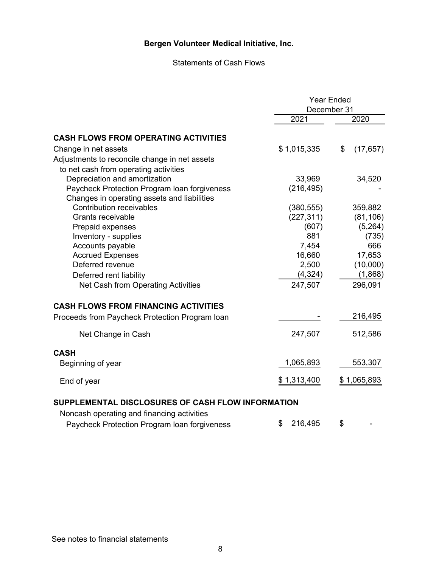Statements of Cash Flows

|                                                                               | <b>Year Ended</b><br>December 31 |                 |  |
|-------------------------------------------------------------------------------|----------------------------------|-----------------|--|
|                                                                               | 2021                             | 2020            |  |
| <b>CASH FLOWS FROM OPERATING ACTIVITIES</b>                                   |                                  |                 |  |
| Change in net assets                                                          | \$1,015,335                      | \$<br>(17, 657) |  |
| Adjustments to reconcile change in net assets                                 |                                  |                 |  |
| to net cash from operating activities                                         |                                  | 34,520          |  |
| Depreciation and amortization<br>Paycheck Protection Program loan forgiveness | 33,969<br>(216, 495)             |                 |  |
| Changes in operating assets and liabilities                                   |                                  |                 |  |
| <b>Contribution receivables</b>                                               | (380, 555)                       | 359,882         |  |
| Grants receivable                                                             | (227, 311)                       | (81, 106)       |  |
| Prepaid expenses                                                              | (607)                            | (5,264)         |  |
| Inventory - supplies                                                          | 881                              | (735)           |  |
| Accounts payable                                                              | 7,454                            | 666             |  |
| <b>Accrued Expenses</b>                                                       | 16,660                           | 17,653          |  |
| Deferred revenue                                                              | 2,500                            | (10,000)        |  |
| Deferred rent liability                                                       | (4, 324)                         | (1,868)         |  |
| Net Cash from Operating Activities                                            | 247,507                          | 296,091         |  |
| <b>CASH FLOWS FROM FINANCING ACTIVITIES</b>                                   |                                  |                 |  |
| Proceeds from Paycheck Protection Program Ioan                                |                                  | 216,495         |  |
| Net Change in Cash                                                            | 247,507                          | 512,586         |  |
| <b>CASH</b>                                                                   |                                  |                 |  |
| Beginning of year                                                             | 1,065,893                        | 553,307         |  |
| End of year                                                                   | \$1,313,400                      | \$1,065,893     |  |
| SUPPLEMENTAL DISCLOSURES OF CASH FLOW INFORMATION                             |                                  |                 |  |
| Noncash operating and financing activities                                    |                                  |                 |  |
| Paycheck Protection Program loan forgiveness                                  | 216,495<br>\$                    | \$              |  |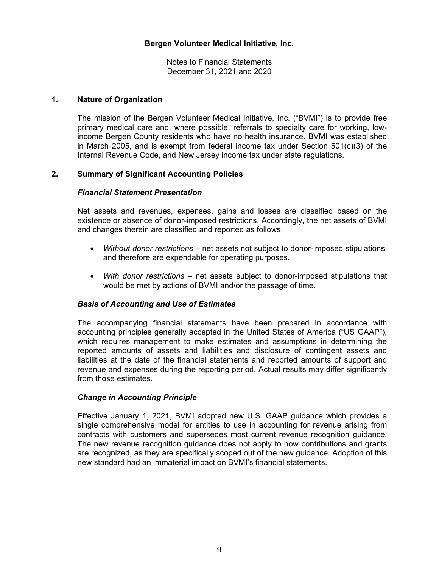Notes to Financial Statements December 31, 2021 and 2020

## **1. Nature of Organization**

The mission of the Bergen Volunteer Medical Initiative, Inc. ("BVMI") is to provide free primary medical care and, where possible, referrals to specialty care for working, lowincome Bergen County residents who have no health insurance. BVMI was established in March 2005, and is exempt from federal income tax under Section  $501(c)(3)$  of the Internal Revenue Code, and New Jersey income tax under state regulations.

## **2. Summary of Significant Accounting Policies**

## *Financial Statement Presentation*

Net assets and revenues, expenses, gains and losses are classified based on the existence or absence of donor-imposed restrictions. Accordingly, the net assets of BVMI and changes therein are classified and reported as follows:

- *Without donor restrictions* net assets not subject to donor-imposed stipulations, and therefore are expendable for operating purposes.
- *With donor restrictions* net assets subject to donor-imposed stipulations that would be met by actions of BVMI and/or the passage of time.

## *Basis of Accounting and Use of Estimates*

The accompanying financial statements have been prepared in accordance with accounting principles generally accepted in the United States of America ("US GAAP"), which requires management to make estimates and assumptions in determining the reported amounts of assets and liabilities and disclosure of contingent assets and liabilities at the date of the financial statements and reported amounts of support and revenue and expenses during the reporting period. Actual results may differ significantly from those estimates.

## *Change in Accounting Principle*

Effective January 1, 2021, BVMI adopted new U.S. GAAP guidance which provides a single comprehensive model for entities to use in accounting for revenue arising from contracts with customers and supersedes most current revenue recognition guidance. The new revenue recognition guidance does not apply to how contributions and grants are recognized, as they are specifically scoped out of the new guidance. Adoption of this new standard had an immaterial impact on BVMI's financial statements.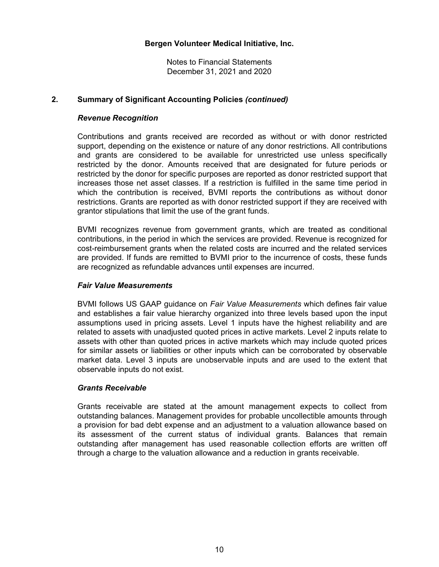Notes to Financial Statements December 31, 2021 and 2020

## **2. Summary of Significant Accounting Policies** *(continued)*

#### *Revenue Recognition*

Contributions and grants received are recorded as without or with donor restricted support, depending on the existence or nature of any donor restrictions. All contributions and grants are considered to be available for unrestricted use unless specifically restricted by the donor. Amounts received that are designated for future periods or restricted by the donor for specific purposes are reported as donor restricted support that increases those net asset classes. If a restriction is fulfilled in the same time period in which the contribution is received, BVMI reports the contributions as without donor restrictions. Grants are reported as with donor restricted support if they are received with grantor stipulations that limit the use of the grant funds.

BVMI recognizes revenue from government grants, which are treated as conditional contributions, in the period in which the services are provided. Revenue is recognized for cost-reimbursement grants when the related costs are incurred and the related services are provided. If funds are remitted to BVMI prior to the incurrence of costs, these funds are recognized as refundable advances until expenses are incurred.

#### *Fair Value Measurements*

BVMI follows US GAAP guidance on *Fair Value Measurements* which defines fair value and establishes a fair value hierarchy organized into three levels based upon the input assumptions used in pricing assets. Level 1 inputs have the highest reliability and are related to assets with unadjusted quoted prices in active markets. Level 2 inputs relate to assets with other than quoted prices in active markets which may include quoted prices for similar assets or liabilities or other inputs which can be corroborated by observable market data. Level 3 inputs are unobservable inputs and are used to the extent that observable inputs do not exist.

#### *Grants Receivable*

Grants receivable are stated at the amount management expects to collect from outstanding balances. Management provides for probable uncollectible amounts through a provision for bad debt expense and an adjustment to a valuation allowance based on its assessment of the current status of individual grants. Balances that remain outstanding after management has used reasonable collection efforts are written off through a charge to the valuation allowance and a reduction in grants receivable.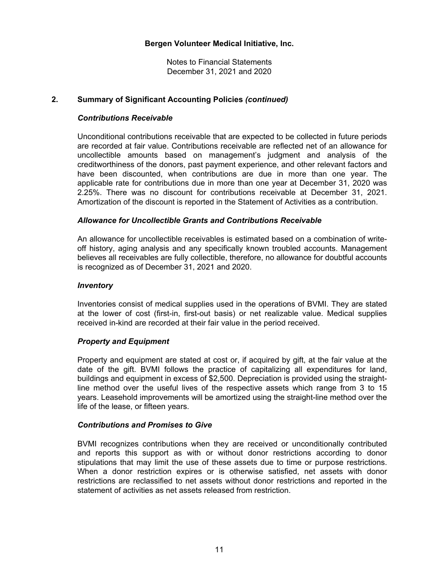Notes to Financial Statements December 31, 2021 and 2020

## **2. Summary of Significant Accounting Policies** *(continued)*

#### *Contributions Receivable*

Unconditional contributions receivable that are expected to be collected in future periods are recorded at fair value. Contributions receivable are reflected net of an allowance for uncollectible amounts based on management's judgment and analysis of the creditworthiness of the donors, past payment experience, and other relevant factors and have been discounted, when contributions are due in more than one year. The applicable rate for contributions due in more than one year at December 31, 2020 was 2.25%. There was no discount for contributions receivable at December 31, 2021. Amortization of the discount is reported in the Statement of Activities as a contribution.

#### *Allowance for Uncollectible Grants and Contributions Receivable*

An allowance for uncollectible receivables is estimated based on a combination of writeoff history, aging analysis and any specifically known troubled accounts. Management believes all receivables are fully collectible, therefore, no allowance for doubtful accounts is recognized as of December 31, 2021 and 2020.

#### *Inventory*

Inventories consist of medical supplies used in the operations of BVMI. They are stated at the lower of cost (first-in, first-out basis) or net realizable value. Medical supplies received in-kind are recorded at their fair value in the period received.

#### *Property and Equipment*

Property and equipment are stated at cost or, if acquired by gift, at the fair value at the date of the gift. BVMI follows the practice of capitalizing all expenditures for land, buildings and equipment in excess of \$2,500. Depreciation is provided using the straightline method over the useful lives of the respective assets which range from 3 to 15 years. Leasehold improvements will be amortized using the straight-line method over the life of the lease, or fifteen years.

#### *Contributions and Promises to Give*

BVMI recognizes contributions when they are received or unconditionally contributed and reports this support as with or without donor restrictions according to donor stipulations that may limit the use of these assets due to time or purpose restrictions. When a donor restriction expires or is otherwise satisfied, net assets with donor restrictions are reclassified to net assets without donor restrictions and reported in the statement of activities as net assets released from restriction.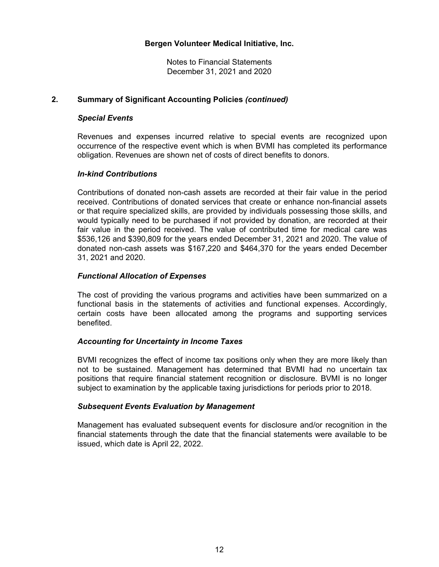Notes to Financial Statements December 31, 2021 and 2020

## **2. Summary of Significant Accounting Policies** *(continued)*

#### *Special Events*

Revenues and expenses incurred relative to special events are recognized upon occurrence of the respective event which is when BVMI has completed its performance obligation. Revenues are shown net of costs of direct benefits to donors.

#### *In-kind Contributions*

Contributions of donated non-cash assets are recorded at their fair value in the period received. Contributions of donated services that create or enhance non-financial assets or that require specialized skills, are provided by individuals possessing those skills, and would typically need to be purchased if not provided by donation, are recorded at their fair value in the period received. The value of contributed time for medical care was \$536,126 and \$390,809 for the years ended December 31, 2021 and 2020. The value of donated non-cash assets was \$167,220 and \$464,370 for the years ended December 31, 2021 and 2020.

#### *Functional Allocation of Expenses*

The cost of providing the various programs and activities have been summarized on a functional basis in the statements of activities and functional expenses. Accordingly, certain costs have been allocated among the programs and supporting services benefited.

#### *Accounting for Uncertainty in Income Taxes*

BVMI recognizes the effect of income tax positions only when they are more likely than not to be sustained. Management has determined that BVMI had no uncertain tax positions that require financial statement recognition or disclosure. BVMI is no longer subject to examination by the applicable taxing jurisdictions for periods prior to 2018.

#### *Subsequent Events Evaluation by Management*

Management has evaluated subsequent events for disclosure and/or recognition in the financial statements through the date that the financial statements were available to be issued, which date is April 22, 2022.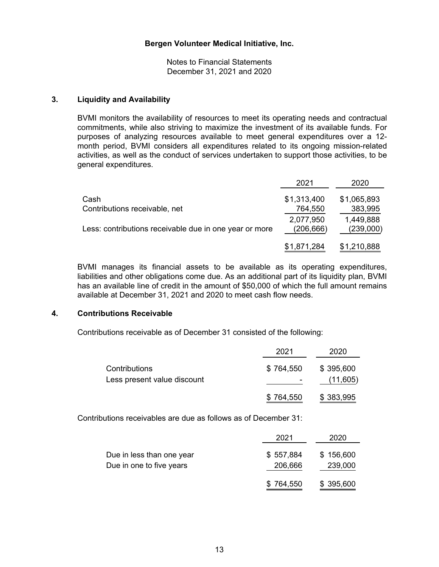Notes to Financial Statements December 31, 2021 and 2020

#### **3. Liquidity and Availability**

BVMI monitors the availability of resources to meet its operating needs and contractual commitments, while also striving to maximize the investment of its available funds. For purposes of analyzing resources available to meet general expenditures over a 12 month period, BVMI considers all expenditures related to its ongoing mission-related activities, as well as the conduct of services undertaken to support those activities, to be general expenditures.

|                                                        | 2021        | 2020        |
|--------------------------------------------------------|-------------|-------------|
| Cash                                                   | \$1,313,400 | \$1,065,893 |
| Contributions receivable, net                          | 764,550     | 383,995     |
|                                                        | 2,077,950   | 1,449,888   |
| Less: contributions receivable due in one year or more | (206,666)   | (239,000)   |
|                                                        | \$1,871,284 | \$1,210,888 |

BVMI manages its financial assets to be available as its operating expenditures, liabilities and other obligations come due. As an additional part of its liquidity plan, BVMI has an available line of credit in the amount of \$50,000 of which the full amount remains available at December 31, 2021 and 2020 to meet cash flow needs.

#### **4. Contributions Receivable**

Contributions receivable as of December 31 consisted of the following:

|                             | 2021      | 2020      |
|-----------------------------|-----------|-----------|
| Contributions               | \$764,550 | \$395,600 |
| Less present value discount |           | (11,605)  |
|                             | \$764,550 | \$383,995 |

Contributions receivables are due as follows as of December 31:

| \$557,884 | \$156,600<br>239,000 |
|-----------|----------------------|
|           | \$395,600            |
|           | 206,666<br>\$764,550 |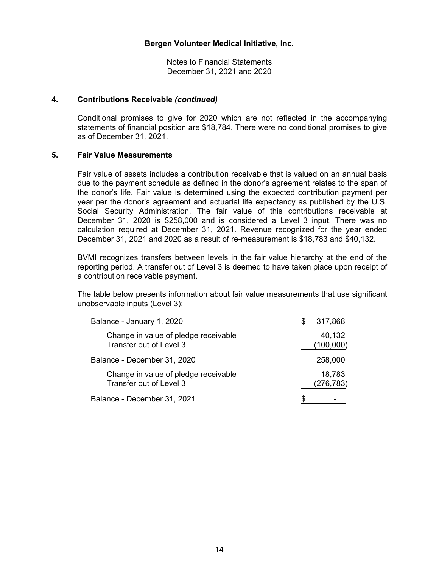Notes to Financial Statements December 31, 2021 and 2020

#### **4. Contributions Receivable** *(continued)*

Conditional promises to give for 2020 which are not reflected in the accompanying statements of financial position are \$18,784. There were no conditional promises to give as of December 31, 2021.

#### **5. Fair Value Measurements**

Fair value of assets includes a contribution receivable that is valued on an annual basis due to the payment schedule as defined in the donor's agreement relates to the span of the donor's life. Fair value is determined using the expected contribution payment per year per the donor's agreement and actuarial life expectancy as published by the U.S. Social Security Administration. The fair value of this contributions receivable at December 31, 2020 is \$258,000 and is considered a Level 3 input. There was no calculation required at December 31, 2021. Revenue recognized for the year ended December 31, 2021 and 2020 as a result of re-measurement is \$18,783 and \$40,132.

BVMI recognizes transfers between levels in the fair value hierarchy at the end of the reporting period. A transfer out of Level 3 is deemed to have taken place upon receipt of a contribution receivable payment.

The table below presents information about fair value measurements that use significant unobservable inputs (Level 3):

| Balance - January 1, 2020                                       | 317,868              |
|-----------------------------------------------------------------|----------------------|
| Change in value of pledge receivable<br>Transfer out of Level 3 | 40,132<br>(100,000)  |
| Balance - December 31, 2020                                     | 258,000              |
| Change in value of pledge receivable<br>Transfer out of Level 3 | 18,783<br>(276, 783) |
| Balance - December 31, 2021                                     |                      |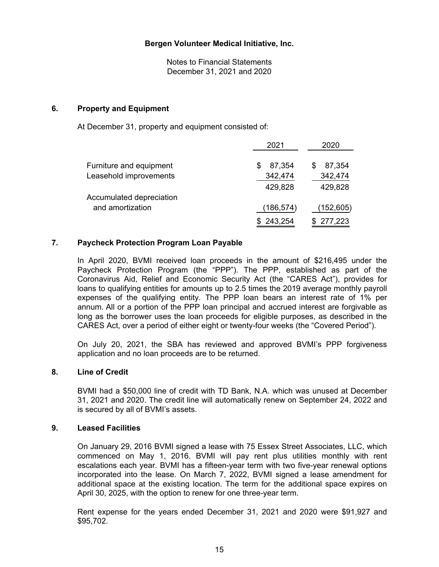Notes to Financial Statements December 31, 2021 and 2020

## **6. Property and Equipment**

At December 31, property and equipment consisted of:

|                          | 2021        | 2020       |
|--------------------------|-------------|------------|
| Furniture and equipment  | 87,354<br>S | 87,354     |
| Leasehold improvements   | 342,474     | 342,474    |
|                          | 429,828     | 429,828    |
| Accumulated depreciation |             |            |
| and amortization         | (186,574)   | (152, 605) |
|                          | \$243,254   | \$277,223  |

## **7. Paycheck Protection Program Loan Payable**

In April 2020, BVMI received loan proceeds in the amount of \$216,495 under the Paycheck Protection Program (the "PPP"). The PPP, established as part of the Coronavirus Aid, Relief and Economic Security Act (the "CARES Act"), provides for loans to qualifying entities for amounts up to 2.5 times the 2019 average monthly payroll expenses of the qualifying entity. The PPP loan bears an interest rate of 1% per annum. All or a portion of the PPP loan principal and accrued interest are forgivable as long as the borrower uses the loan proceeds for eligible purposes, as described in the CARES Act, over a period of either eight or twenty-four weeks (the "Covered Period").

On July 20, 2021, the SBA has reviewed and approved BVMI's PPP forgiveness application and no loan proceeds are to be returned.

#### **8. Line of Credit**

BVMI had a \$50,000 line of credit with TD Bank, N.A. which was unused at December 31, 2021 and 2020. The credit line will automatically renew on September 24, 2022 and is secured by all of BVMI's assets.

#### **9. Leased Facilities**

On January 29, 2016 BVMI signed a lease with 75 Essex Street Associates, LLC, which commenced on May 1, 2016. BVMI will pay rent plus utilities monthly with rent escalations each year. BVMI has a fifteen-year term with two five-year renewal options incorporated into the lease. On March 7, 2022, BVMI signed a lease amendment for additional space at the existing location. The term for the additional space expires on April 30, 2025, with the option to renew for one three-year term.

Rent expense for the years ended December 31, 2021 and 2020 were \$91,927 and \$95,702.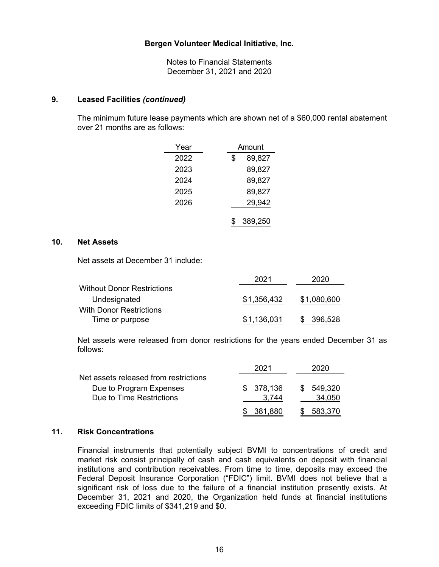Notes to Financial Statements December 31, 2021 and 2020

#### **9. Leased Facilities** *(continued)*

The minimum future lease payments which are shown net of a \$60,000 rental abatement over 21 months are as follows:

| Year | Amount       |
|------|--------------|
| 2022 | \$<br>89,827 |
| 2023 | 89,827       |
| 2024 | 89,827       |
| 2025 | 89,827       |
| 2026 | 29,942       |
|      | 389,250      |
|      |              |

#### **10. Net Assets**

Net assets at December 31 include:

|                                   | 2021        | 2020        |
|-----------------------------------|-------------|-------------|
| <b>Without Donor Restrictions</b> |             |             |
| Undesignated                      | \$1,356,432 | \$1,080,600 |
| <b>With Donor Restrictions</b>    |             |             |
| Time or purpose                   | \$1,136,031 | \$ 396,528  |

Net assets were released from donor restrictions for the years ended December 31 as follows:

| 2021    |           | 2020       |
|---------|-----------|------------|
|         |           |            |
|         |           | \$ 549,320 |
| 3.744   |           | 34.050     |
| 381,880 |           | 583,370    |
|         | \$378,136 |            |

#### **11. Risk Concentrations**

Financial instruments that potentially subject BVMI to concentrations of credit and market risk consist principally of cash and cash equivalents on deposit with financial institutions and contribution receivables. From time to time, deposits may exceed the Federal Deposit Insurance Corporation ("FDIC") limit. BVMI does not believe that a significant risk of loss due to the failure of a financial institution presently exists. At December 31, 2021 and 2020, the Organization held funds at financial institutions exceeding FDIC limits of \$341,219 and \$0.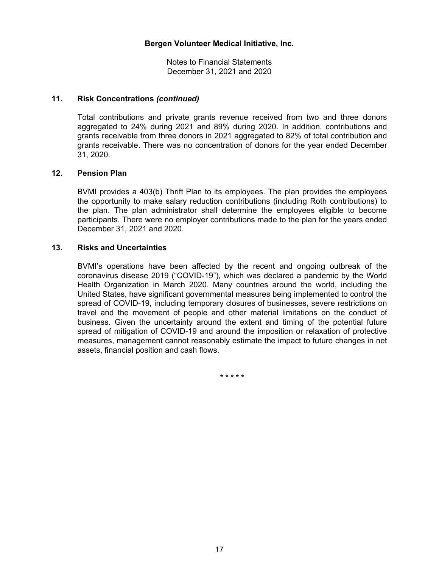Notes to Financial Statements December 31, 2021 and 2020

### **11. Risk Concentrations** *(continued)*

Total contributions and private grants revenue received from two and three donors aggregated to 24% during 2021 and 89% during 2020. In addition, contributions and grants receivable from three donors in 2021 aggregated to 82% of total contribution and grants receivable. There was no concentration of donors for the year ended December 31, 2020.

## **12. Pension Plan**

BVMI provides a 403(b) Thrift Plan to its employees. The plan provides the employees the opportunity to make salary reduction contributions (including Roth contributions) to the plan. The plan administrator shall determine the employees eligible to become participants. There were no employer contributions made to the plan for the years ended December 31, 2021 and 2020.

## **13. Risks and Uncertainties**

BVMI's operations have been affected by the recent and ongoing outbreak of the coronavirus disease 2019 ("COVID-19"), which was declared a pandemic by the World Health Organization in March 2020. Many countries around the world, including the United States, have significant governmental measures being implemented to control the spread of COVID-19, including temporary closures of businesses, severe restrictions on travel and the movement of people and other material limitations on the conduct of business. Given the uncertainty around the extent and timing of the potential future spread of mitigation of COVID-19 and around the imposition or relaxation of protective measures, management cannot reasonably estimate the impact to future changes in net assets, financial position and cash flows.

**\* \* \* \* \***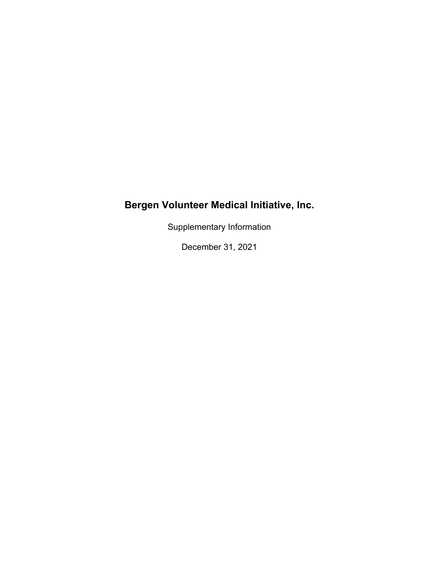Supplementary Information

December 31, 2021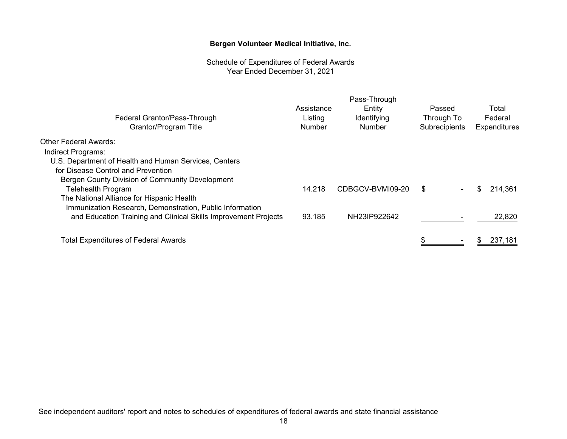## Schedule of Expenditures of Federal Awards Year Ended December 31, 2021

|                                                                 |            | Pass-Through     |               |                     |
|-----------------------------------------------------------------|------------|------------------|---------------|---------------------|
|                                                                 | Assistance | Entity           | Passed        | Total               |
| Federal Grantor/Pass-Through                                    | Listing    | Identifying      | Through To    | Federal             |
| Grantor/Program Title                                           | Number     | Number           | Subrecipients | <b>Expenditures</b> |
| <b>Other Federal Awards:</b>                                    |            |                  |               |                     |
| Indirect Programs:                                              |            |                  |               |                     |
| U.S. Department of Health and Human Services, Centers           |            |                  |               |                     |
| for Disease Control and Prevention                              |            |                  |               |                     |
| Bergen County Division of Community Development                 |            |                  |               |                     |
| <b>Telehealth Program</b>                                       | 14.218     | CDBGCV-BVMI09-20 | -S            | 214,361<br>S        |
| The National Alliance for Hispanic Health                       |            |                  |               |                     |
| Immunization Research, Demonstration, Public Information        |            |                  |               |                     |
| and Education Training and Clinical Skills Improvement Projects | 93.185     | NH23IP922642     |               | 22,820              |
|                                                                 |            |                  |               |                     |
| <b>Total Expenditures of Federal Awards</b>                     |            |                  |               | 237,181             |
|                                                                 |            |                  |               |                     |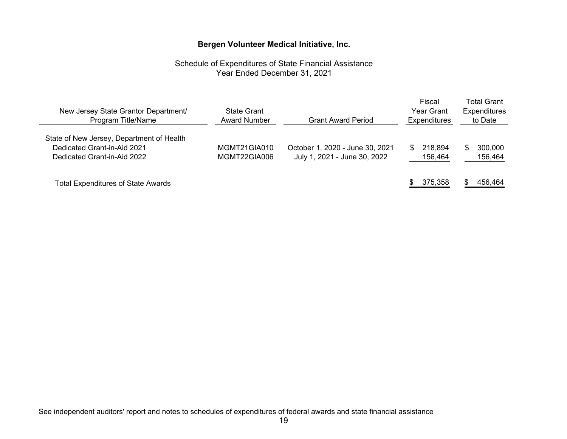## Schedule of Expenditures of State Financial Assistance Year Ended December 31, 2021

| New Jersey State Grantor Department/<br>Program Title/Name                                              | <b>State Grant</b><br><b>Award Number</b> | <b>Grant Award Period</b>                                       |     | Fiscal<br><b>Year Grant</b><br><b>Expenditures</b> |    | <b>Total Grant</b><br><b>Expenditures</b><br>to Date |
|---------------------------------------------------------------------------------------------------------|-------------------------------------------|-----------------------------------------------------------------|-----|----------------------------------------------------|----|------------------------------------------------------|
| State of New Jersey, Department of Health<br>Dedicated Grant-in-Aid 2021<br>Dedicated Grant-in-Aid 2022 | MGMT21GIA010<br>MGMT22GIA006              | October 1, 2020 - June 30, 2021<br>July 1, 2021 - June 30, 2022 | \$. | 218,894<br>156,464                                 | S. | 300,000<br>156,464                                   |
| <b>Total Expenditures of State Awards</b>                                                               |                                           |                                                                 |     | 375,358                                            |    | 456,464                                              |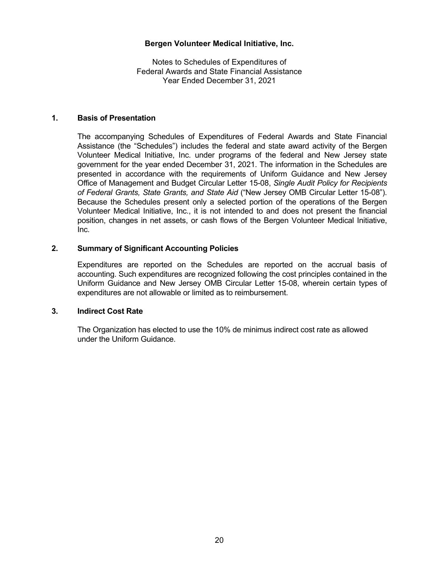Notes to Schedules of Expenditures of Federal Awards and State Financial Assistance Year Ended December 31, 2021

#### **1. Basis of Presentation**

The accompanying Schedules of Expenditures of Federal Awards and State Financial Assistance (the "Schedules") includes the federal and state award activity of the Bergen Volunteer Medical Initiative, Inc. under programs of the federal and New Jersey state government for the year ended December 31, 2021. The information in the Schedules are presented in accordance with the requirements of Uniform Guidance and New Jersey Office of Management and Budget Circular Letter 15-08, *Single Audit Policy for Recipients of Federal Grants, State Grants, and State Aid* ("New Jersey OMB Circular Letter 15-08"). Because the Schedules present only a selected portion of the operations of the Bergen Volunteer Medical Initiative, Inc., it is not intended to and does not present the financial position, changes in net assets, or cash flows of the Bergen Volunteer Medical Initiative, Inc.

## **2. Summary of Significant Accounting Policies**

Expenditures are reported on the Schedules are reported on the accrual basis of accounting. Such expenditures are recognized following the cost principles contained in the Uniform Guidance and New Jersey OMB Circular Letter 15-08, wherein certain types of expenditures are not allowable or limited as to reimbursement.

## **3. Indirect Cost Rate**

The Organization has elected to use the 10% de minimus indirect cost rate as allowed under the Uniform Guidance.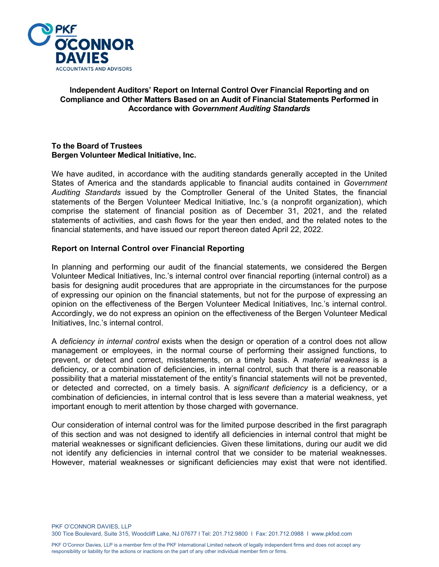

## **Independent Auditors' Report on Internal Control Over Financial Reporting and on Compliance and Other Matters Based on an Audit of Financial Statements Performed in Accordance with** *Government Auditing Standards*

## **To the Board of Trustees Bergen Volunteer Medical Initiative, Inc.**

We have audited, in accordance with the auditing standards generally accepted in the United States of America and the standards applicable to financial audits contained in *Government Auditing Standards* issued by the Comptroller General of the United States, the financial statements of the Bergen Volunteer Medical Initiative, Inc.'s (a nonprofit organization), which comprise the statement of financial position as of December 31, 2021, and the related statements of activities, and cash flows for the year then ended, and the related notes to the financial statements, and have issued our report thereon dated April 22, 2022.

## **Report on Internal Control over Financial Reporting**

In planning and performing our audit of the financial statements, we considered the Bergen Volunteer Medical Initiatives, Inc.'s internal control over financial reporting (internal control) as a basis for designing audit procedures that are appropriate in the circumstances for the purpose of expressing our opinion on the financial statements, but not for the purpose of expressing an opinion on the effectiveness of the Bergen Volunteer Medical Initiatives, Inc.'s internal control. Accordingly, we do not express an opinion on the effectiveness of the Bergen Volunteer Medical Initiatives, Inc.'s internal control.

A *deficiency in internal control* exists when the design or operation of a control does not allow management or employees, in the normal course of performing their assigned functions, to prevent, or detect and correct, misstatements, on a timely basis. A *material weakness* is a deficiency, or a combination of deficiencies, in internal control, such that there is a reasonable possibility that a material misstatement of the entity's financial statements will not be prevented, or detected and corrected, on a timely basis. A *significant deficiency* is a deficiency, or a combination of deficiencies, in internal control that is less severe than a material weakness, yet important enough to merit attention by those charged with governance.

Our consideration of internal control was for the limited purpose described in the first paragraph of this section and was not designed to identify all deficiencies in internal control that might be material weaknesses or significant deficiencies. Given these limitations, during our audit we did not identify any deficiencies in internal control that we consider to be material weaknesses. However, material weaknesses or significant deficiencies may exist that were not identified.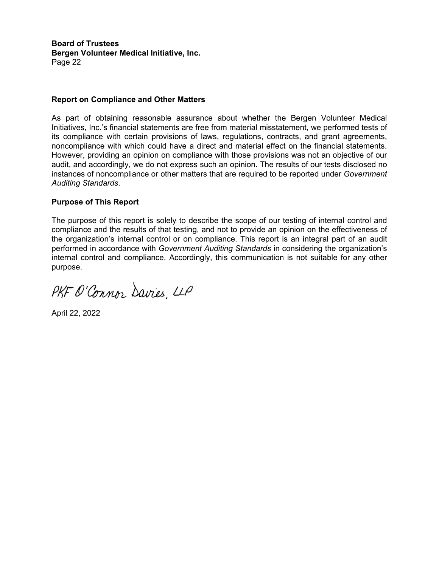#### **Board of Trustees Bergen Volunteer Medical Initiative, Inc.**  Page 22

#### **Report on Compliance and Other Matters**

As part of obtaining reasonable assurance about whether the Bergen Volunteer Medical Initiatives, Inc.'s financial statements are free from material misstatement, we performed tests of its compliance with certain provisions of laws, regulations, contracts, and grant agreements, noncompliance with which could have a direct and material effect on the financial statements. However, providing an opinion on compliance with those provisions was not an objective of our audit, and accordingly, we do not express such an opinion. The results of our tests disclosed no instances of noncompliance or other matters that are required to be reported under *Government Auditing Standards*.

#### **Purpose of This Report**

The purpose of this report is solely to describe the scope of our testing of internal control and compliance and the results of that testing, and not to provide an opinion on the effectiveness of the organization's internal control or on compliance. This report is an integral part of an audit performed in accordance with *Government Auditing Standards* in considering the organization's internal control and compliance. Accordingly, this communication is not suitable for any other purpose.

PKF O'Connor Davies, LLP

April 22, 2022